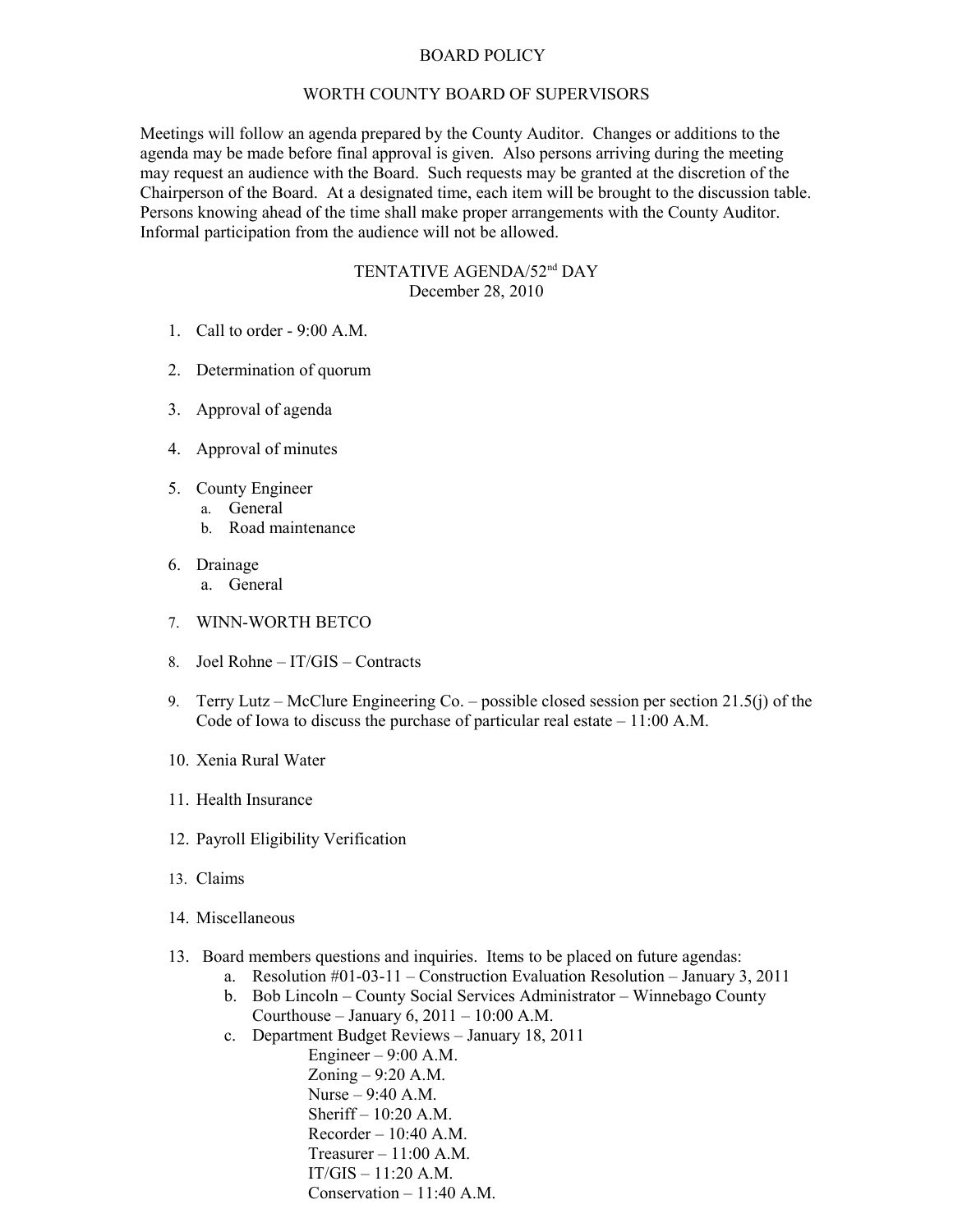## BOARD POLICY

## WORTH COUNTY BOARD OF SUPERVISORS

Meetings will follow an agenda prepared by the County Auditor. Changes or additions to the agenda may be made before final approval is given. Also persons arriving during the meeting may request an audience with the Board. Such requests may be granted at the discretion of the Chairperson of the Board. At a designated time, each item will be brought to the discussion table. Persons knowing ahead of the time shall make proper arrangements with the County Auditor. Informal participation from the audience will not be allowed.

## TENTATIVE AGENDA/52nd DAY December 28, 2010

- 1. Call to order 9:00 A.M.
- 2. Determination of quorum
- 3. Approval of agenda
- 4. Approval of minutes
- 5. County Engineer
	- a. General
		- b. Road maintenance
- 6. Drainage
	- a. General
- 7. WINN-WORTH BETCO
- 8. Joel Rohne IT/GIS Contracts
- 9. Terry Lutz McClure Engineering Co. possible closed session per section 21.5(j) of the Code of Iowa to discuss the purchase of particular real estate – 11:00 A.M.
- 10. Xenia Rural Water
- 11. Health Insurance
- 12. Payroll Eligibility Verification
- 13. Claims
- 14. Miscellaneous
- 13. Board members questions and inquiries. Items to be placed on future agendas:
	- a. Resolution #01-03-11 Construction Evaluation Resolution January 3, 2011
	- b. Bob Lincoln County Social Services Administrator Winnebago County Courthouse – January 6,  $2011 - 10:00$  A.M.
	- c. Department Budget Reviews January 18, 2011

Engineer  $-9:00$  A.M. Zoning – 9:20 A.M. Nurse – 9:40 A.M. Sheriff – 10:20 A.M.  $Recorder - 10:40 A.M.$ Treasurer  $-11:00$  A.M. IT/GIS – 11:20 A.M. Conservation – 11:40 A.M.